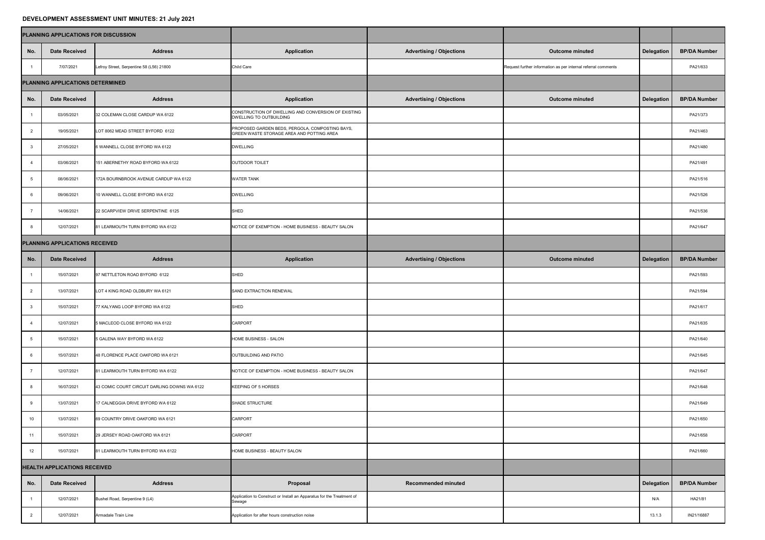## **DEVELOPMENT ASSESSMENT UNIT MINUTES: 21 July 2021**

|                                     | PLANNING APPLICATIONS FOR DISCUSSION |                                              |                                                                                              |                                 |                                                               |            |                     |
|-------------------------------------|--------------------------------------|----------------------------------------------|----------------------------------------------------------------------------------------------|---------------------------------|---------------------------------------------------------------|------------|---------------------|
| No.                                 | <b>Date Received</b>                 | <b>Address</b>                               | <b>Application</b>                                                                           | <b>Advertising / Objections</b> | <b>Outcome minuted</b>                                        | Delegation | <b>BP/DA Number</b> |
|                                     | 7/07/2021                            | Lefroy Street, Serpentine 58 (L56) 21800     | <b>Child Care</b>                                                                            |                                 | Request further information as per internal referral comments |            | PA21/633            |
| PLANNING APPLICATIONS DETERMINED    |                                      |                                              |                                                                                              |                                 |                                                               |            |                     |
| No.                                 | <b>Date Received</b>                 | <b>Address</b>                               | <b>Application</b>                                                                           | <b>Advertising / Objections</b> | <b>Outcome minuted</b>                                        | Delegation | <b>BP/DA Number</b> |
|                                     | 03/05/2021                           | 32 COLEMAN CLOSE CARDUP WA 6122              | CONSTRUCTION OF DWELLING AND CONVERSION OF EXISTING<br>DWELLING TO OUTBUILDING               |                                 |                                                               |            | PA21/373            |
| $\overline{2}$                      | 19/05/2021                           | LOT 8062 MEAD STREET BYFORD 6122             | PROPOSED GARDEN BEDS, PERGOLA, COMPOSTING BAYS,<br>GREEN WASTE STORAGE AREA AND POTTING AREA |                                 |                                                               |            | PA21/463            |
|                                     | 27/05/2021                           | 6 WANNELL CLOSE BYFORD WA 6122               | <b>DWELLING</b>                                                                              |                                 |                                                               |            | PA21/480            |
|                                     | 03/06/2021                           | 151 ABERNETHY ROAD BYFORD WA 6122            | OUTDOOR TOILET                                                                               |                                 |                                                               |            | PA21/491            |
|                                     | 08/06/2021                           | 172A BOURNBROOK AVENUE CARDUP WA 6122        | <b>WATER TANK</b>                                                                            |                                 |                                                               |            | PA21/516            |
|                                     | 09/06/2021                           | 10 WANNELL CLOSE BYFORD WA 6122              | <b>DWELLING</b>                                                                              |                                 |                                                               |            | PA21/526            |
|                                     | 14/06/2021                           | 22 SCARPVIEW DRIVE SERPENTINE 6125           | <b>SHED</b>                                                                                  |                                 |                                                               |            | PA21/536            |
|                                     | 12/07/2021                           | 81 LEARMOUTH TURN BYFORD WA 6122             | NOTICE OF EXEMPTION - HOME BUSINESS - BEAUTY SALON                                           |                                 |                                                               |            | PA21/647            |
| PLANNING APPLICATIONS RECEIVED      |                                      |                                              |                                                                                              |                                 |                                                               |            |                     |
| No.                                 | <b>Date Received</b>                 | <b>Address</b>                               | <b>Application</b>                                                                           | <b>Advertising / Objections</b> | <b>Outcome minuted</b>                                        | Delegation | <b>BP/DA Number</b> |
|                                     | 15/07/2021                           | 97 NETTLETON ROAD BYFORD 6122                | <b>SHED</b>                                                                                  |                                 |                                                               |            | PA21/593            |
| 2                                   | 13/07/2021                           | LOT 4 KING ROAD OLDBURY WA 6121              | SAND EXTRACTION RENEWAL                                                                      |                                 |                                                               |            | PA21/594            |
|                                     | 15/07/2021                           | 77 KALYANG LOOP BYFORD WA 6122               | <b>SHED</b>                                                                                  |                                 |                                                               |            | PA21/617            |
|                                     | 12/07/2021                           | 5 MACLEOD CLOSE BYFORD WA 6122               | <b>CARPORT</b>                                                                               |                                 |                                                               |            | PA21/635            |
|                                     | 15/07/2021                           | 5 GALENA WAY BYFORD WA 6122                  | HOME BUSINESS - SALON                                                                        |                                 |                                                               |            | PA21/640            |
|                                     | 15/07/2021                           | 48 FLORENCE PLACE OAKFORD WA 6121            | OUTBUILDING AND PATIO                                                                        |                                 |                                                               |            | PA21/645            |
|                                     | 12/07/2021                           | 81 LEARMOUTH TURN BYFORD WA 6122             | NOTICE OF EXEMPTION - HOME BUSINESS - BEAUTY SALON                                           |                                 |                                                               |            | PA21/647            |
|                                     | 16/07/2021                           | 43 COMIC COURT CIRCUIT DARLING DOWNS WA 6122 | <b>KEEPING OF 5 HORSES</b>                                                                   |                                 |                                                               |            | PA21/648            |
|                                     | 13/07/2021                           | 17 CALNEGGIA DRIVE BYFORD WA 6122            | SHADE STRUCTURE                                                                              |                                 |                                                               |            | PA21/649            |
| 10 <sup>°</sup>                     | 13/07/2021                           | 69 COUNTRY DRIVE OAKFORD WA 6121             | CARPORT                                                                                      |                                 |                                                               |            | PA21/650            |
| 11                                  | 15/07/2021                           | 29 JERSEY ROAD OAKFORD WA 6121               | <b>CARPORT</b>                                                                               |                                 |                                                               |            | PA21/658            |
| 12                                  | 15/07/2021                           | 81 LEARMOUTH TURN BYFORD WA 6122             | HOME BUSINESS - BEAUTY SALON                                                                 |                                 |                                                               |            | PA21/660            |
| <b>HEALTH APPLICATIONS RECEIVED</b> |                                      |                                              |                                                                                              |                                 |                                                               |            |                     |
| No.                                 | <b>Date Received</b>                 | <b>Address</b>                               | Proposal                                                                                     | <b>Recommended minuted</b>      |                                                               | Delegation | <b>BP/DA Number</b> |
|                                     | 12/07/2021                           | Bushel Road, Serpentine 9 (L4)               | Application to Construct or Install an Apparatus for the Treatment of<br>Sewage              |                                 |                                                               | N/A        | HA21/81             |
|                                     | 12/07/2021                           | Armadale Train Line                          | Application for after hours construction noise                                               |                                 |                                                               | 13.1.3     | IN21/16887          |